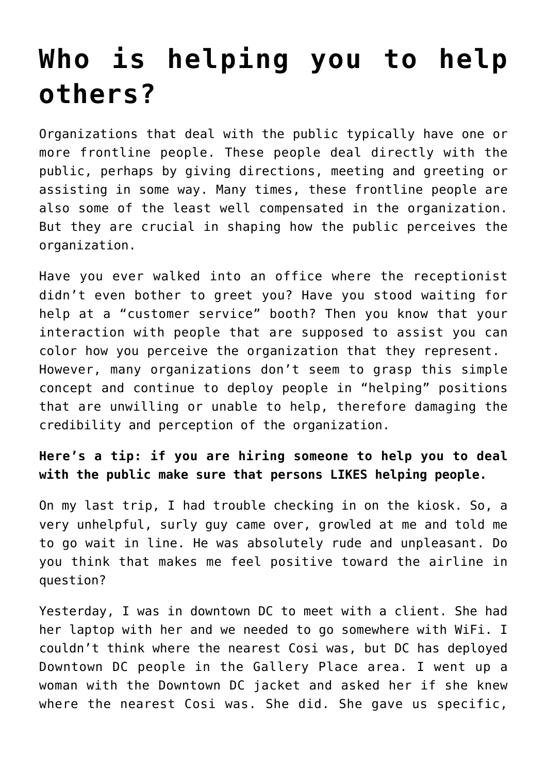## **[Who is helping you to help](https://deborahbrody.com/2009/10/who-is-helping-you-to-help-others/) [others?](https://deborahbrody.com/2009/10/who-is-helping-you-to-help-others/)**

Organizations that deal with the public typically have one or more frontline people. These people deal directly with the public, perhaps by giving directions, meeting and greeting or assisting in some way. Many times, these frontline people are also some of the least well compensated in the organization. But they are crucial in shaping how the public perceives the organization.

Have you ever walked into an office where the receptionist didn't even bother to greet you? Have you stood waiting for help at a "customer service" booth? Then you know that your interaction with people that are supposed to assist you can color how you perceive the organization that they represent. However, many organizations don't seem to grasp this simple concept and continue to deploy people in "helping" positions that are unwilling or unable to help, therefore damaging the credibility and perception of the organization.

## **Here's a tip: if you are hiring someone to help you to deal with the public make sure that persons LIKES helping people.**

On my last trip, I had trouble checking in on the kiosk. So, a very unhelpful, surly guy came over, growled at me and told me to go wait in line. He was absolutely rude and unpleasant. Do you think that makes me feel positive toward the airline in question?

Yesterday, I was in downtown DC to meet with a client. She had her laptop with her and we needed to go somewhere with WiFi. I couldn't think where the nearest Cosi was, but DC has deployed Downtown DC people in the Gallery Place area. I went up a woman with the Downtown DC jacket and asked her if she knew where the nearest Cosi was. She did. She gave us specific,